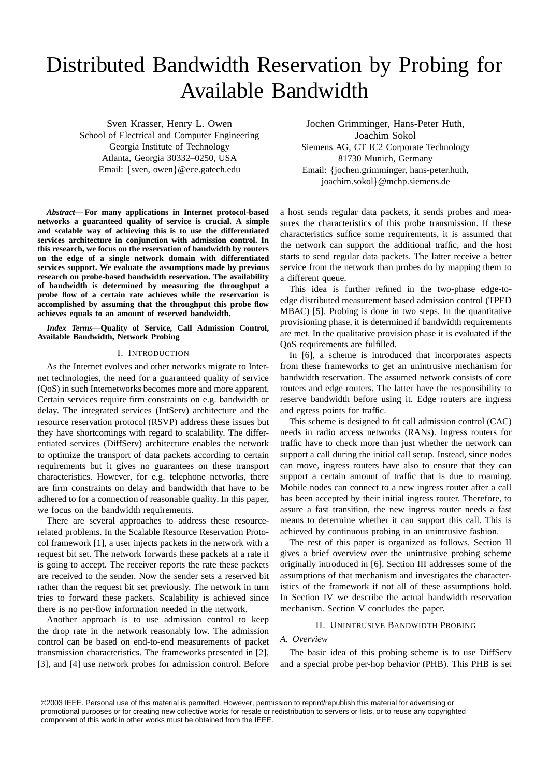# Distributed Bandwidth Reservation by Probing for Available Bandwidth

Sven Krasser, Henry L. Owen School of Electrical and Computer Engineering Georgia Institute of Technology Atlanta, Georgia 30332–0250, USA Email: {sven, owen}@ece.gatech.edu

*Abstract***— For many applications in Internet protocol-based networks a guaranteed quality of service is crucial. A simple and scalable way of achieving this is to use the differentiated services architecture in conjunction with admission control. In this research, we focus on the reservation of bandwidth by routers on the edge of a single network domain with differentiated services support. We evaluate the assumptions made by previous research on probe-based bandwidth reservation. The availability of bandwidth is determined by measuring the throughput a probe flow of a certain rate achieves while the reservation is accomplished by assuming that the throughput this probe flow achieves equals to an amount of reserved bandwidth.**

*Index Terms***—Quality of Service, Call Admission Control, Available Bandwidth, Network Probing**

#### I. INTRODUCTION

As the Internet evolves and other networks migrate to Internet technologies, the need for a guaranteed quality of service (QoS) in such Internetworks becomes more and more apparent. Certain services require firm constraints on e.g. bandwidth or delay. The integrated services (IntServ) architecture and the resource reservation protocol (RSVP) address these issues but they have shortcomings with regard to scalability. The differentiated services (DiffServ) architecture enables the network to optimize the transport of data packets according to certain requirements but it gives no guarantees on these transport characteristics. However, for e.g. telephone networks, there are firm constraints on delay and bandwidth that have to be adhered to for a connection of reasonable quality. In this paper, we focus on the bandwidth requirements.

There are several approaches to address these resourcerelated problems. In the Scalable Resource Reservation Protocol framework [1], a user injects packets in the network with a request bit set. The network forwards these packets at a rate it is going to accept. The receiver reports the rate these packets are received to the sender. Now the sender sets a reserved bit rather than the request bit set previously. The network in turn tries to forward these packets. Scalability is achieved since there is no per-flow information needed in the network.

Another approach is to use admission control to keep the drop rate in the network reasonably low. The admission control can be based on end-to-end measurements of packet transmission characteristics. The frameworks presented in [2], [3], and [4] use network probes for admission control. Before

Jochen Grimminger, Hans-Peter Huth, Joachim Sokol Siemens AG, CT IC2 Corporate Technology 81730 Munich, Germany Email: {jochen.grimminger, hans-peter.huth, joachim.sokol}@mchp.siemens.de

a host sends regular data packets, it sends probes and measures the characteristics of this probe transmission. If these characteristics suffice some requirements, it is assumed that the network can support the additional traffic, and the host starts to send regular data packets. The latter receive a better service from the network than probes do by mapping them to a different queue.

This idea is further refined in the two-phase edge-toedge distributed measurement based admission control (TPED MBAC) [5]. Probing is done in two steps. In the quantitative provisioning phase, it is determined if bandwidth requirements are met. In the qualitative provision phase it is evaluated if the QoS requirements are fulfilled.

In [6], a scheme is introduced that incorporates aspects from these frameworks to get an unintrusive mechanism for bandwidth reservation. The assumed network consists of core routers and edge routers. The latter have the responsibility to reserve bandwidth before using it. Edge routers are ingress and egress points for traffic.

This scheme is designed to fit call admission control (CAC) needs in radio access networks (RANs). Ingress routers for traffic have to check more than just whether the network can support a call during the initial call setup. Instead, since nodes can move, ingress routers have also to ensure that they can support a certain amount of traffic that is due to roaming. Mobile nodes can connect to a new ingress router after a call has been accepted by their initial ingress router. Therefore, to assure a fast transition, the new ingress router needs a fast means to determine whether it can support this call. This is achieved by continuous probing in an unintrusive fashion.

The rest of this paper is organized as follows. Section II gives a brief overview over the unintrusive probing scheme originally introduced in [6]. Section III addresses some of the assumptions of that mechanism and investigates the characteristics of the framework if not all of these assumptions hold. In Section IV we describe the actual bandwidth reservation mechanism. Section V concludes the paper.

#### II. UNINTRUSIVE BANDWIDTH PROBING

## *A. Overview*

The basic idea of this probing scheme is to use DiffServ and a special probe per-hop behavior (PHB). This PHB is set

©2003 IEEE. Personal use of this material is permitted. However, permission to reprint/republish this material for advertising or promotional purposes or for creating new collective works for resale or redistribution to servers or lists, or to reuse any copyrighted component of this work in other works must be obtained from the IEEE.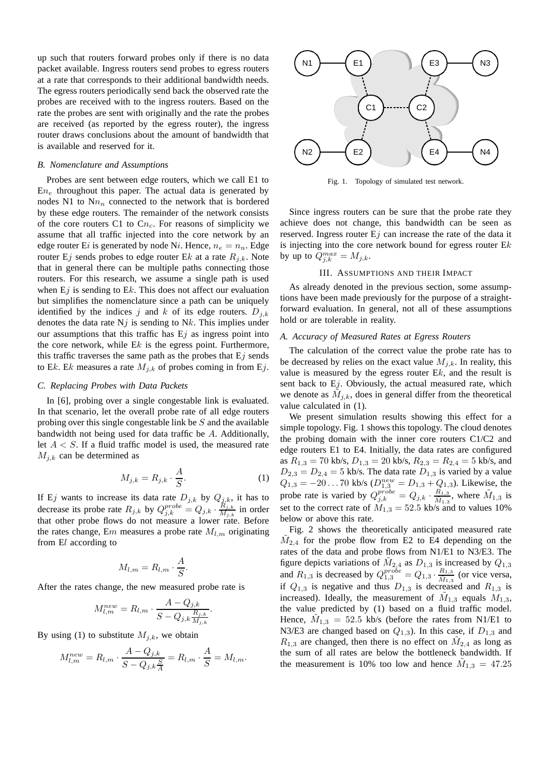up such that routers forward probes only if there is no data packet available. Ingress routers send probes to egress routers at a rate that corresponds to their additional bandwidth needs. The egress routers periodically send back the observed rate the probes are received with to the ingress routers. Based on the rate the probes are sent with originally and the rate the probes are received (as reported by the egress router), the ingress router draws conclusions about the amount of bandwidth that is available and reserved for it.

#### *B. Nomenclature and Assumptions*

Probes are sent between edge routers, which we call E1 to  $En_e$  throughout this paper. The actual data is generated by nodes N1 to  $Nn_n$  connected to the network that is bordered by these edge routers. The remainder of the network consists of the core routers C1 to  $C_n$ . For reasons of simplicity we assume that all traffic injected into the core network by an edge router Ei is generated by node Ni. Hence,  $n_e = n_n$ . Edge router Ej sends probes to edge router Ek at a rate  $R_{i,k}$ . Note that in general there can be multiple paths connecting those routers. For this research, we assume a single path is used when  $E_i$  is sending to  $E_k$ . This does not affect our evaluation but simplifies the nomenclature since a path can be uniquely identified by the indices j and k of its edge routers.  $D_{i,k}$ denotes the data rate  $Nj$  is sending to Nk. This implies under our assumptions that this traffic has  $E<sub>j</sub>$  as ingress point into the core network, while  $Ek$  is the egress point. Furthermore, this traffic traverses the same path as the probes that  $Ej$  sends to Ek. Ek measures a rate  $M_{i,k}$  of probes coming in from Ej.

#### *C. Replacing Probes with Data Packets*

In [6], probing over a single congestable link is evaluated. In that scenario, let the overall probe rate of all edge routers probing over this single congestable link be  $S$  and the available bandwidth not being used for data traffic be A. Additionally, let  $A \leq S$ . If a fluid traffic model is used, the measured rate  $M_{j,k}$  can be determined as

$$
M_{j,k} = R_{j,k} \cdot \frac{A}{S}.\tag{1}
$$

If Ej wants to increase its data rate  $D_{j,k}$  by  $Q_{j,k}$ , it has to decrease its probe rate  $R_{j,k}$  by  $Q_{j,k}^{probe} = Q_{j,k} \cdot \frac{R_{j,k}}{M_{j,k}}$  $\frac{R_{j,k}}{M_{j,k}}$  in order that other probe flows do not measure a lower rate. Before the rates change, Em measures a probe rate  $M_{l,m}$  originating from El according to

$$
M_{l,m} = R_{l,m} \cdot \frac{A}{S}.
$$

After the rates change, the new measured probe rate is

$$
M_{l,m}^{new} = R_{l,m} \cdot \frac{A - Q_{j,k}}{S - Q_{j,k} \frac{R_{j,k}}{M_{j,k}}}.
$$

By using (1) to substitute  $M_{j,k}$ , we obtain

$$
M_{l,m}^{new} = R_{l,m} \cdot \frac{A - Q_{j,k}}{S - Q_{j,k} \frac{S}{A}} = R_{l,m} \cdot \frac{A}{S} = M_{l,m}.
$$



Fig. 1. Topology of simulated test network.

Since ingress routers can be sure that the probe rate they achieve does not change, this bandwidth can be seen as reserved. Ingress router  $Ej$  can increase the rate of the data it is injecting into the core network bound for egress router  $Ek$ by up to  $Q_{j,k}^{max} = M_{j,k}$ .

## III. ASSUMPTIONS AND THEIR IMPACT

As already denoted in the previous section, some assumptions have been made previously for the purpose of a straightforward evaluation. In general, not all of these assumptions hold or are tolerable in reality.

## *A. Accuracy of Measured Rates at Egress Routers*

The calculation of the correct value the probe rate has to be decreased by relies on the exact value  $M_{j,k}$ . In reality, this value is measured by the egress router  $Ek$ , and the result is sent back to  $Ej$ . Obviously, the actual measured rate, which we denote as  $\tilde{M}_{j,k}$ , does in general differ from the theoretical value calculated in (1).

We present simulation results showing this effect for a simple topology. Fig. 1 shows this topology. The cloud denotes the probing domain with the inner core routers C1/C2 and edge routers E1 to E4. Initially, the data rates are configured as  $R_{1,3} = 70$  kb/s,  $D_{1,3} = 20$  kb/s,  $R_{2,3} = R_{2,4} = 5$  kb/s, and  $D_{2,3} = D_{2,4} = 5$  kb/s. The data rate  $D_{1,3}$  is varied by a value  $Q_{1,3} = -20...70$  kb/s  $(D_{1,3}^{new} = D_{1,3} + Q_{1,3})$ . Likewise, the probe rate is varied by  $Q_{j,k}^{probe} = Q_{j,k} \cdot \frac{R_{1,3}}{\tilde{M}_{1,3}}$ , where  $\tilde{M}_{1,3}$  is set to the correct rate of  $M_{1,3} = 52.5$  kb/s and to values 10% below or above this rate.

Fig. 2 shows the theoretically anticipated measured rate  $\tilde{M}_{2,4}$  for the probe flow from E2 to E4 depending on the rates of the data and probe flows from N1/E1 to N3/E3. The figure depicts variations of  $\tilde{M}_{2,4}$  as  $D_{1,3}$  is increased by  $Q_{1,3}$ and  $R_{1,3}$  is decreased by  $Q_{1,3}^{probe} = Q_{1,3} \cdot \frac{R_{1,3}}{\tilde{M}_{1,3}}$  (or vice versa, if  $Q_{1,3}$  is negative and thus  $D_{1,3}$  is decreased and  $R_{1,3}$  is increased). Ideally, the measurement of  $\tilde{M}_{1,3}$  equals  $\tilde{M}_{1,3}$ , the value predicted by (1) based on a fluid traffic model. Hence,  $\tilde{M}_{1,3} = 52.5$  kb/s (before the rates from N1/E1 to N3/E3 are changed based on  $Q_{1,3}$ ). In this case, if  $D_{1,3}$  and  $R_{1,3}$  are changed, then there is no effect on  $\tilde{M}_{2,4}$  as long as the sum of all rates are below the bottleneck bandwidth. If the measurement is 10% too low and hence  $\tilde{M}_{1,3} = 47.25$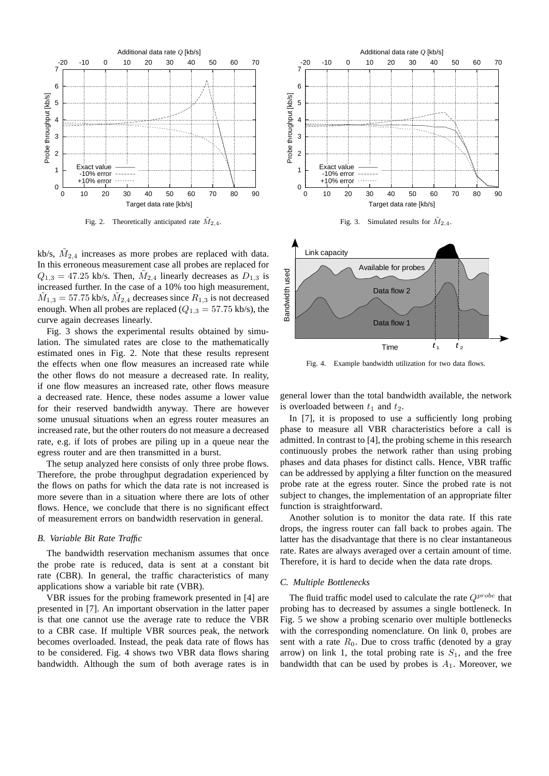

Fig. 2. Theoretically anticipated rate  $\tilde{M}_{2,4}$ .

kb/s,  $\tilde{M}_{2,4}$  increases as more probes are replaced with data. In this erroneous measurement case all probes are replaced for  $Q_{1,3} = 47.25$  kb/s. Then,  $\tilde{M}_{2,4}$  linearly decreases as  $D_{1,3}$  is increased further. In the case of a 10% too high measurement,  $\tilde{M}_{1,3} = 57.75$  kb/s,  $\tilde{M}_{2,4}$  decreases since  $R_{1,3}$  is not decreased enough. When all probes are replaced  $(Q_{1,3} = 57.75 \text{ kb/s})$ , the curve again decreases linearly.

Fig. 3 shows the experimental results obtained by simulation. The simulated rates are close to the mathematically estimated ones in Fig. 2. Note that these results represent the effects when one flow measures an increased rate while the other flows do not measure a decreased rate. In reality, if one flow measures an increased rate, other flows measure a decreased rate. Hence, these nodes assume a lower value for their reserved bandwidth anyway. There are however some unusual situations when an egress router measures an increased rate, but the other routers do not measure a decreased rate, e.g. if lots of probes are piling up in a queue near the egress router and are then transmitted in a burst.

The setup analyzed here consists of only three probe flows. Therefore, the probe throughput degradation experienced by the flows on paths for which the data rate is not increased is more severe than in a situation where there are lots of other flows. Hence, we conclude that there is no significant effect of measurement errors on bandwidth reservation in general.

## *B. Variable Bit Rate Traffic*

The bandwidth reservation mechanism assumes that once the probe rate is reduced, data is sent at a constant bit rate (CBR). In general, the traffic characteristics of many applications show a variable bit rate (VBR).

VBR issues for the probing framework presented in [4] are presented in [7]. An important observation in the latter paper is that one cannot use the average rate to reduce the VBR to a CBR case. If multiple VBR sources peak, the network becomes overloaded. Instead, the peak data rate of flows has to be considered. Fig. 4 shows two VBR data flows sharing bandwidth. Although the sum of both average rates is in





Fig. 4. Example bandwidth utilization for two data flows.

general lower than the total bandwidth available, the network is overloaded between  $t_1$  and  $t_2$ .

In [7], it is proposed to use a sufficiently long probing phase to measure all VBR characteristics before a call is admitted. In contrast to [4], the probing scheme in this research continuously probes the network rather than using probing phases and data phases for distinct calls. Hence, VBR traffic can be addressed by applying a filter function on the measured probe rate at the egress router. Since the probed rate is not subject to changes, the implementation of an appropriate filter function is straightforward.

Another solution is to monitor the data rate. If this rate drops, the ingress router can fall back to probes again. The latter has the disadvantage that there is no clear instantaneous rate. Rates are always averaged over a certain amount of time. Therefore, it is hard to decide when the data rate drops.

#### *C. Multiple Bottlenecks*

The fluid traffic model used to calculate the rate  $Q^{probe}$  that probing has to decreased by assumes a single bottleneck. In Fig. 5 we show a probing scenario over multiple bottlenecks with the corresponding nomenclature. On link 0, probes are sent with a rate  $R_0$ . Due to cross traffic (denoted by a gray arrow) on link 1, the total probing rate is  $S_1$ , and the free bandwidth that can be used by probes is  $A_1$ . Moreover, we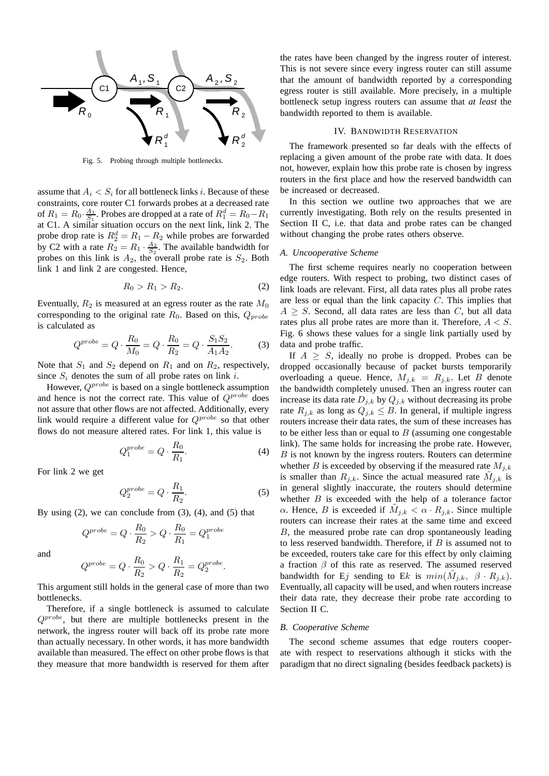

Fig. 5. Probing through multiple bottlenecks.

assume that  $A_i < S_i$  for all bottleneck links *i*. Because of these constraints, core router C1 forwards probes at a decreased rate of  $R_1 = R_0 \cdot \frac{A_1}{S_1}$ . Probes are dropped at a rate of  $R_1^d = R_0 - R_1$ at C1. A similar situation occurs on the next link, link 2. The probe drop rate is  $R_2^d = R_1 - R_2$  while probes are forwarded by C2 with a rate  $R_2 = R_1 \cdot \frac{A_2}{S_2}$ . The available bandwidth for probes on this link is  $A_2$ , the overall probe rate is  $S_2$ . Both link 1 and link 2 are congested. Hence,

$$
R_0 > R_1 > R_2. \tag{2}
$$

Eventually,  $R_2$  is measured at an egress router as the rate  $M_0$ corresponding to the original rate  $R_0$ . Based on this,  $Q_{probe}$ is calculated as

$$
Q^{probe} = Q \cdot \frac{R_0}{M_0} = Q \cdot \frac{R_0}{R_2} = Q \cdot \frac{S_1 S_2}{A_1 A_2}.
$$
 (3)

Note that  $S_1$  and  $S_2$  depend on  $R_1$  and on  $R_2$ , respectively, since  $S_i$  denotes the sum of all probe rates on link i.

However,  $Q^{probe}$  is based on a single bottleneck assumption and hence is not the correct rate. This value of  $Q^{probe}$  does not assure that other flows are not affected. Additionally, every link would require a different value for  $Q^{probe}$  so that other flows do not measure altered rates. For link 1, this value is

$$
Q_1^{probe} = Q \cdot \frac{R_0}{R_1}.\tag{4}
$$

For link 2 we get

$$
Q_2^{probe} = Q \cdot \frac{R_1}{R_2}.\tag{5}
$$

By using  $(2)$ , we can conclude from  $(3)$ ,  $(4)$ , and  $(5)$  that

$$
Q^{probe} = Q \cdot \frac{R_0}{R_2} > Q \cdot \frac{R_0}{R_1} = Q_1^{probe}
$$

and

$$
Q^{probe}=Q\cdot\frac{R_{0}}{R_{2}}>Q\cdot\frac{R_{1}}{R_{2}}=Q_{2}^{probe}.
$$

This argument still holds in the general case of more than two bottlenecks.

Therefore, if a single bottleneck is assumed to calculate  $Q^{probe}$ , but there are multiple bottlenecks present in the network, the ingress router will back off its probe rate more than actually necessary. In other words, it has more bandwidth available than measured. The effect on other probe flows is that they measure that more bandwidth is reserved for them after

the rates have been changed by the ingress router of interest. This is not severe since every ingress router can still assume that the amount of bandwidth reported by a corresponding egress router is still available. More precisely, in a multiple bottleneck setup ingress routers can assume that *at least* the bandwidth reported to them is available.

## IV. BANDWIDTH RESERVATION

The framework presented so far deals with the effects of replacing a given amount of the probe rate with data. It does not, however, explain how this probe rate is chosen by ingress routers in the first place and how the reserved bandwidth can be increased or decreased.

In this section we outline two approaches that we are currently investigating. Both rely on the results presented in Section II C, i.e. that data and probe rates can be changed without changing the probe rates others observe.

#### *A. Uncooperative Scheme*

The first scheme requires nearly no cooperation between edge routers. With respect to probing, two distinct cases of link loads are relevant. First, all data rates plus all probe rates are less or equal than the link capacity  $C$ . This implies that  $A \geq S$ . Second, all data rates are less than C, but all data rates plus all probe rates are more than it. Therefore,  $A < S$ . Fig. 6 shows these values for a single link partially used by data and probe traffic.

If  $A \geq S$ , ideally no probe is dropped. Probes can be dropped occasionally because of packet bursts temporarily overloading a queue. Hence,  $M_{j,k} = R_{j,k}$ . Let B denote the bandwidth completely unused. Then an ingress router can increase its data rate  $D_{j,k}$  by  $Q_{j,k}$  without decreasing its probe rate  $R_{j,k}$  as long as  $Q_{j,k} \leq B$ . In general, if multiple ingress routers increase their data rates, the sum of these increases has to be either less than or equal to  $B$  (assuming one congestable link). The same holds for increasing the probe rate. However, B is not known by the ingress routers. Routers can determine whether B is exceeded by observing if the measured rate  $M_{j,k}$ is smaller than  $R_{j,k}$ . Since the actual measured rate  $\tilde{M}_{j,k}$  is in general slightly inaccurate, the routers should determine whether  $B$  is exceeded with the help of a tolerance factor  $\alpha$ . Hence, B is exceeded if  $\tilde{M}_{j,k} < \alpha \cdot R_{j,k}$ . Since multiple routers can increase their rates at the same time and exceed B, the measured probe rate can drop spontaneously leading to less reserved bandwidth. Therefore, if  $B$  is assumed not to be exceeded, routers take care for this effect by only claiming a fraction  $\beta$  of this rate as reserved. The assumed reserved bandwidth for E<sub>j</sub> sending to Ek is  $min(\tilde{M}_{j,k}, \beta \cdot R_{j,k}).$ Eventually, all capacity will be used, and when routers increase their data rate, they decrease their probe rate according to Section II C.

#### *B. Cooperative Scheme*

The second scheme assumes that edge routers cooperate with respect to reservations although it sticks with the paradigm that no direct signaling (besides feedback packets) is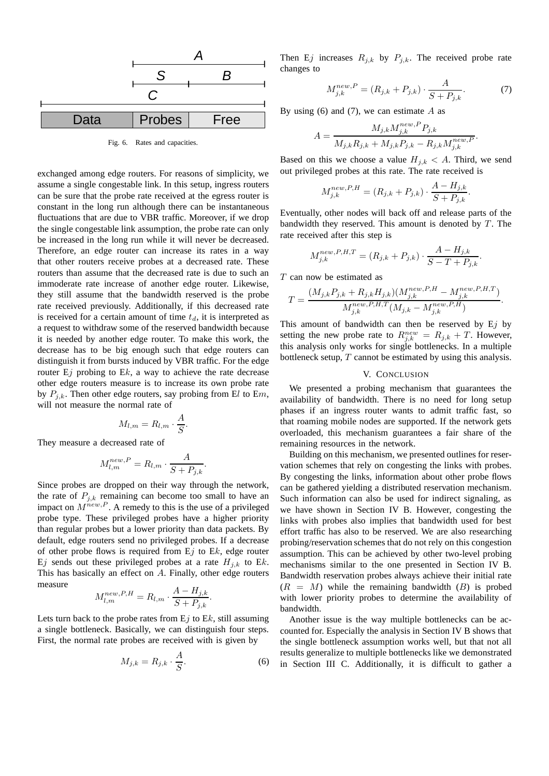

Fig. 6. Rates and capacities.

exchanged among edge routers. For reasons of simplicity, we assume a single congestable link. In this setup, ingress routers can be sure that the probe rate received at the egress router is constant in the long run although there can be instantaneous fluctuations that are due to VBR traffic. Moreover, if we drop the single congestable link assumption, the probe rate can only be increased in the long run while it will never be decreased. Therefore, an edge router can increase its rates in a way that other routers receive probes at a decreased rate. These routers than assume that the decreased rate is due to such an immoderate rate increase of another edge router. Likewise, they still assume that the bandwidth reserved is the probe rate received previously. Additionally, if this decreased rate is received for a certain amount of time  $t_d$ , it is interpreted as a request to withdraw some of the reserved bandwidth because it is needed by another edge router. To make this work, the decrease has to be big enough such that edge routers can distinguish it from bursts induced by VBR traffic. For the edge router  $E_i$  probing to  $E_k$ , a way to achieve the rate decrease other edge routers measure is to increase its own probe rate by  $P_{j,k}$ . Then other edge routers, say probing from El to Em, will not measure the normal rate of

$$
M_{l,m} = R_{l,m} \cdot \frac{A}{S}.
$$

They measure a decreased rate of

$$
M_{l,m}^{new,P} = R_{l,m} \cdot \frac{A}{S + P_{j,k}}.
$$

Since probes are dropped on their way through the network, the rate of  $P_{i,k}$  remaining can become too small to have an impact on  $M^{new,P}$ . A remedy to this is the use of a privileged probe type. These privileged probes have a higher priority than regular probes but a lower priority than data packets. By default, edge routers send no privileged probes. If a decrease of other probe flows is required from  $Ej$  to  $Ek$ , edge router Ej sends out these privileged probes at a rate  $H_{i,k}$  to Ek. This has basically an effect on A. Finally, other edge routers measure

$$
M_{l,m}^{new,P,H} = R_{l,m} \cdot \frac{A - H_{j,k}}{S + P_{j,k}}.
$$

Lets turn back to the probe rates from  $E_j$  to  $E_k$ , still assuming a single bottleneck. Basically, we can distinguish four steps. First, the normal rate probes are received with is given by

$$
M_{j,k} = R_{j,k} \cdot \frac{A}{S}.\tag{6}
$$

Then E<sub>j</sub> increases  $R_{i,k}$  by  $P_{i,k}$ . The received probe rate changes to

$$
M_{j,k}^{new,P} = (R_{j,k} + P_{j,k}) \cdot \frac{A}{S + P_{j,k}}.\tag{7}
$$

By using  $(6)$  and  $(7)$ , we can estimate A as

$$
A = \frac{M_{j,k} M_{j,k}^{new, P} P_{j,k}}{M_{j,k} R_{j,k} + M_{j,k} P_{j,k} - R_{j,k} M_{j,k}^{new, P}}.
$$

Based on this we choose a value  $H_{j,k} < A$ . Third, we send out privileged probes at this rate. The rate received is

$$
M_{j,k}^{new,P,H} = (R_{j,k} + P_{j,k}) \cdot \frac{A - H_{j,k}}{S + P_{j,k}}.
$$

Eventually, other nodes will back off and release parts of the bandwidth they reserved. This amount is denoted by  $T$ . The rate received after this step is

$$
M_{j,k}^{new,P,H,T} = (R_{j,k} + P_{j,k}) \cdot \frac{A - H_{j,k}}{S - T + P_{j,k}}
$$

.

T can now be estimated as

$$
T = \frac{(M_{j,k}P_{j,k} + R_{j,k}H_{j,k})(M_{j,k}^{new,P,H} - M_{j,k}^{new,P,H,T})}{M_{j,k}^{new,P,H,T}(M_{j,k} - M_{j,k}^{new,P,H})}.
$$

This amount of bandwidth can then be reserved by  $Ej$  by setting the new probe rate to  $R_{j,k}^{new} = R_{j,k} + T$ . However, this analysis only works for single bottlenecks. In a multiple bottleneck setup,  $T$  cannot be estimated by using this analysis.

## V. CONCLUSION

We presented a probing mechanism that guarantees the availability of bandwidth. There is no need for long setup phases if an ingress router wants to admit traffic fast, so that roaming mobile nodes are supported. If the network gets overloaded, this mechanism guarantees a fair share of the remaining resources in the network.

Building on this mechanism, we presented outlines for reservation schemes that rely on congesting the links with probes. By congesting the links, information about other probe flows can be gathered yielding a distributed reservation mechanism. Such information can also be used for indirect signaling, as we have shown in Section IV B. However, congesting the links with probes also implies that bandwidth used for best effort traffic has also to be reserved. We are also researching probing/reservation schemes that do not rely on this congestion assumption. This can be achieved by other two-level probing mechanisms similar to the one presented in Section IV B. Bandwidth reservation probes always achieve their initial rate  $(R = M)$  while the remaining bandwidth  $(B)$  is probed with lower priority probes to determine the availability of bandwidth.

Another issue is the way multiple bottlenecks can be accounted for. Especially the analysis in Section IV B shows that the single bottleneck assumption works well, but that not all results generalize to multiple bottlenecks like we demonstrated in Section III C. Additionally, it is difficult to gather a